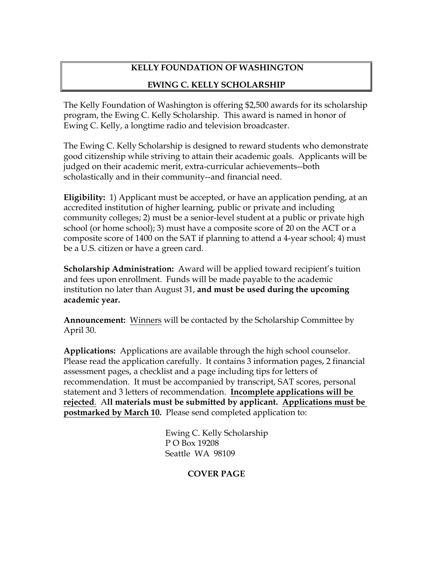# **KELLY FOUNDATION OF WASHINGTON**

### **EWING C. KELLY SCHOLARSHIP**

The Kelly Foundation of Washington is offering \$2,500 awards for its scholarship program, the Ewing C. Kelly Scholarship. This award is named in honor of Ewing C. Kelly, a longtime radio and television broadcaster.

The Ewing C. Kelly Scholarship is designed to reward students who demonstrate good citizenship while striving to attain their academic goals. Applicants will be judged on their academic merit, extra-curricular achievements--both scholastically and in their community--and financial need.

**Eligibility:** 1) Applicant must be accepted, or have an application pending, at an accredited institution of higher learning, public or private and including community colleges; 2) must be a senior-level student at a public or private high school (or home school); 3) must have a composite score of 20 on the ACT or a composite score of 1400 on the SAT if planning to attend a 4-year school; 4) must be a U.S. citizen or have a green card.

**Scholarship Administration:** Award will be applied toward recipient's tuition and fees upon enrollment. Funds will be made payable to the academic institution no later than August 31, **and must be used during the upcoming academic year.**

**Announcement:** Winners will be contacted by the Scholarship Committee by April 30.

**Applications:** Applications are available through the high school counselor. Please read the application carefully. It contains 3 information pages, 2 financial assessment pages, a checklist and a page including tips for letters of recommendation. It must be accompanied by transcript, SAT scores, personal statement and 3 letters of recommendation. **Incomplete applications will be rejected**. A**ll materials must be submitted by applicant. Applications must be postmarked by March 10.** Please send completed application to:

> Ewing C. Kelly Scholarship P O Box 19208 Seattle WA 98109

### **COVER PAGE**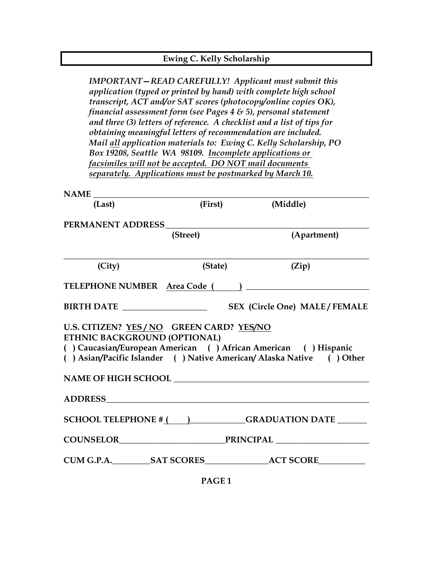| Ewing C. Kelly Scholarship                                                                                                                                                                                               |                                                                                                                                                                                                                                                                                                                      |                                                                                                                                                                                                                                                                                                                                                   |  |
|--------------------------------------------------------------------------------------------------------------------------------------------------------------------------------------------------------------------------|----------------------------------------------------------------------------------------------------------------------------------------------------------------------------------------------------------------------------------------------------------------------------------------------------------------------|---------------------------------------------------------------------------------------------------------------------------------------------------------------------------------------------------------------------------------------------------------------------------------------------------------------------------------------------------|--|
|                                                                                                                                                                                                                          | financial assessment form (see Pages $4 \& 5$ ), personal statement<br>obtaining meaningful letters of recommendation are included.<br>Box 19208, Seattle WA 98109. Incomplete applications or<br>facsimiles will not be accepted. DO NOT mail documents<br>separately. Applications must be postmarked by March 10. | <b>IMPORTANT-READ CAREFULLY!</b> Applicant must submit this<br>application (typed or printed by hand) with complete high school<br>transcript, ACT and/or SAT scores (photocopy/online copies OK),<br>and three (3) letters of reference. A checklist and a list of tips for<br>Mail all application materials to: Ewing C. Kelly Scholarship, PO |  |
| <b>NAME</b>                                                                                                                                                                                                              |                                                                                                                                                                                                                                                                                                                      |                                                                                                                                                                                                                                                                                                                                                   |  |
| (Last)                                                                                                                                                                                                                   | (First)                                                                                                                                                                                                                                                                                                              | (Middle)                                                                                                                                                                                                                                                                                                                                          |  |
| PERMANENT ADDRESS                                                                                                                                                                                                        | (Street)                                                                                                                                                                                                                                                                                                             | (Apartment)                                                                                                                                                                                                                                                                                                                                       |  |
| (City)                                                                                                                                                                                                                   | (State)                                                                                                                                                                                                                                                                                                              | (Zip)                                                                                                                                                                                                                                                                                                                                             |  |
| TELEPHONE NUMBER Area Code                                                                                                                                                                                               |                                                                                                                                                                                                                                                                                                                      |                                                                                                                                                                                                                                                                                                                                                   |  |
| <b>BIRTH DATE</b>                                                                                                                                                                                                        |                                                                                                                                                                                                                                                                                                                      | <b>SEX (Circle One) MALE/FEMALE</b>                                                                                                                                                                                                                                                                                                               |  |
| U.S. CITIZEN? YES / NO GREEN CARD? YES/NO<br>ETHNIC BACKGROUND (OPTIONAL)<br>) Caucasian/European American () African American () Hispanic<br>() Asian/Pacific Islander () Native American/ Alaska Native<br>$( )$ Other |                                                                                                                                                                                                                                                                                                                      |                                                                                                                                                                                                                                                                                                                                                   |  |
|                                                                                                                                                                                                                          |                                                                                                                                                                                                                                                                                                                      |                                                                                                                                                                                                                                                                                                                                                   |  |
|                                                                                                                                                                                                                          |                                                                                                                                                                                                                                                                                                                      |                                                                                                                                                                                                                                                                                                                                                   |  |
|                                                                                                                                                                                                                          |                                                                                                                                                                                                                                                                                                                      | SCHOOL TELEPHONE $\#$ ( ) GRADUATION DATE _______                                                                                                                                                                                                                                                                                                 |  |
| COUNSELOR FRINCIPAL <sub>FRINCIPAL</sub>                                                                                                                                                                                 |                                                                                                                                                                                                                                                                                                                      |                                                                                                                                                                                                                                                                                                                                                   |  |
|                                                                                                                                                                                                                          |                                                                                                                                                                                                                                                                                                                      |                                                                                                                                                                                                                                                                                                                                                   |  |

**PAGE 1**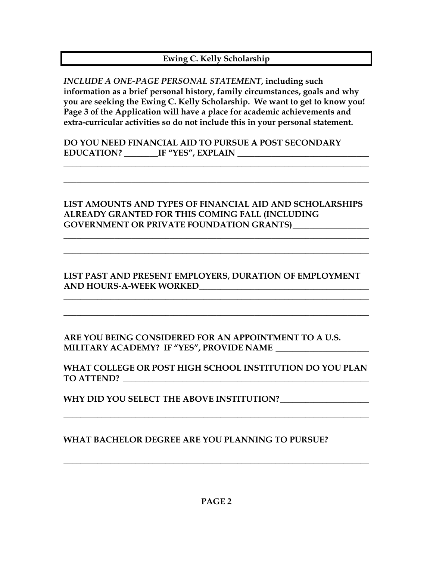# **Ewing C. Kelly Scholarship**

*INCLUDE A ONE-PAGE PERSONAL STATEMENT***, including such information as a brief personal history, family circumstances, goals and why you are seeking the Ewing C. Kelly Scholarship. We want to get to know you! Page 3 of the Application will have a place for academic achievements and extra-curricular activities so do not include this in your personal statement.**

**DO YOU NEED FINANCIAL AID TO PURSUE A POST SECONDARY EDUCATION? \_\_\_\_\_\_\_\_IF "YES", EXPLAIN \_\_\_\_\_\_\_\_\_\_\_\_\_\_\_\_\_\_\_\_\_\_\_\_\_\_\_\_\_\_\_**

**LIST AMOUNTS AND TYPES OF FINANCIAL AID AND SCHOLARSHIPS ALREADY GRANTED FOR THIS COMING FALL (INCLUDING GOVERNMENT OR PRIVATE FOUNDATION GRANTS)\_\_\_\_\_\_\_\_\_\_\_\_\_\_\_\_\_\_**

**\_\_\_\_\_\_\_\_\_\_\_\_\_\_\_\_\_\_\_\_\_\_\_\_\_\_\_\_\_\_\_\_\_\_\_\_\_\_\_\_\_\_\_\_\_\_\_\_\_\_\_\_\_\_\_\_\_\_\_\_\_\_\_\_\_\_\_\_\_\_\_\_**

**\_\_\_\_\_\_\_\_\_\_\_\_\_\_\_\_\_\_\_\_\_\_\_\_\_\_\_\_\_\_\_\_\_\_\_\_\_\_\_\_\_\_\_\_\_\_\_\_\_\_\_\_\_\_\_\_\_\_\_\_\_\_\_\_\_\_\_\_\_\_\_\_**

**\_\_\_\_\_\_\_\_\_\_\_\_\_\_\_\_\_\_\_\_\_\_\_\_\_\_\_\_\_\_\_\_\_\_\_\_\_\_\_\_\_\_\_\_\_\_\_\_\_\_\_\_\_\_\_\_\_\_\_\_\_\_\_\_\_\_\_\_\_\_\_\_**

**\_\_\_\_\_\_\_\_\_\_\_\_\_\_\_\_\_\_\_\_\_\_\_\_\_\_\_\_\_\_\_\_\_\_\_\_\_\_\_\_\_\_\_\_\_\_\_\_\_\_\_\_\_\_\_\_\_\_\_\_\_\_\_\_\_\_\_\_\_\_\_\_**

# **LIST PAST AND PRESENT EMPLOYERS, DURATION OF EMPLOYMENT AND HOURS-A-WEEK WORKED\_\_\_\_\_\_\_\_\_\_\_\_\_\_\_\_\_\_\_\_\_\_\_\_\_\_\_\_\_\_\_\_\_\_\_\_\_\_\_\_**

**\_\_\_\_\_\_\_\_\_\_\_\_\_\_\_\_\_\_\_\_\_\_\_\_\_\_\_\_\_\_\_\_\_\_\_\_\_\_\_\_\_\_\_\_\_\_\_\_\_\_\_\_\_\_\_\_\_\_\_\_\_\_\_\_\_\_\_\_\_\_\_\_**

**\_\_\_\_\_\_\_\_\_\_\_\_\_\_\_\_\_\_\_\_\_\_\_\_\_\_\_\_\_\_\_\_\_\_\_\_\_\_\_\_\_\_\_\_\_\_\_\_\_\_\_\_\_\_\_\_\_\_\_\_\_\_\_\_\_\_\_\_\_\_\_\_**

**ARE YOU BEING CONSIDERED FOR AN APPOINTMENT TO A U.S. MILITARY ACADEMY? IF "YES", PROVIDE NAME \_\_\_\_\_\_\_\_\_\_\_\_\_\_\_\_\_\_\_\_\_\_**

**WHAT COLLEGE OR POST HIGH SCHOOL INSTITUTION DO YOU PLAN TO ATTEND? \_\_\_\_\_\_\_\_\_\_\_\_\_\_\_\_\_\_\_\_\_\_\_\_\_\_\_\_\_\_\_\_\_\_\_\_\_\_\_\_\_\_\_\_\_\_\_\_\_\_\_\_\_\_\_\_\_\_**

**\_\_\_\_\_\_\_\_\_\_\_\_\_\_\_\_\_\_\_\_\_\_\_\_\_\_\_\_\_\_\_\_\_\_\_\_\_\_\_\_\_\_\_\_\_\_\_\_\_\_\_\_\_\_\_\_\_\_\_\_\_\_\_\_\_\_\_\_\_\_\_\_**

**WHY DID YOU SELECT THE ABOVE INSTITUTION?\_\_\_\_\_\_\_\_\_\_\_\_\_\_\_\_\_\_\_\_\_**

**WHAT BACHELOR DEGREE ARE YOU PLANNING TO PURSUE?**

**\_\_\_\_\_\_\_\_\_\_\_\_\_\_\_\_\_\_\_\_\_\_\_\_\_\_\_\_\_\_\_\_\_\_\_\_\_\_\_\_\_\_\_\_\_\_\_\_\_\_\_\_\_\_\_\_\_\_\_\_\_\_\_\_\_\_\_\_\_\_\_\_**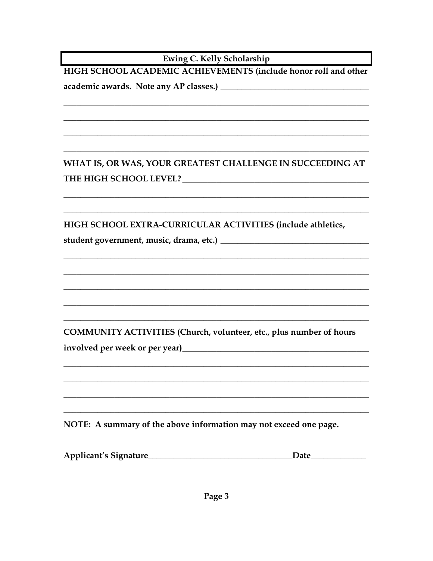Ewing C. Kelly Scholarship

HIGH SCHOOL ACADEMIC ACHIEVEMENTS (include honor roll and other 

WHAT IS, OR WAS, YOUR GREATEST CHALLENGE IN SUCCEEDING AT 

HIGH SCHOOL EXTRA-CURRICULAR ACTIVITIES (include athletics,

COMMUNITY ACTIVITIES (Church, volunteer, etc., plus number of hours 

NOTE: A summary of the above information may not exceed one page.

| <b>Applicant's Signature</b><br>Date |
|--------------------------------------|
|--------------------------------------|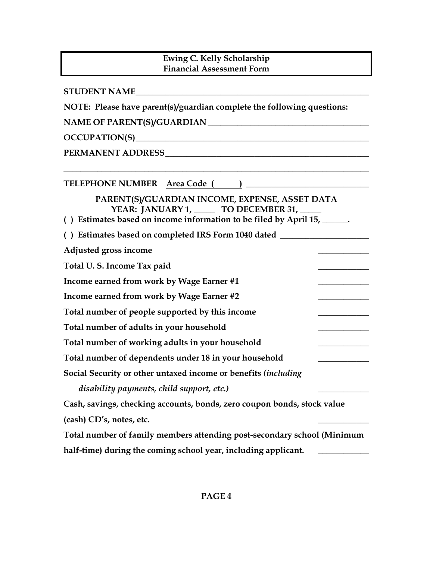# **Ewing C. Kelly Scholarship Financial Assessment Form**

| <b>STUDENT NAME</b>                                                                                                                                                                                                            |  |  |  |
|--------------------------------------------------------------------------------------------------------------------------------------------------------------------------------------------------------------------------------|--|--|--|
| NOTE: Please have parent(s)/guardian complete the following questions:                                                                                                                                                         |  |  |  |
| NAME OF PARENT(S)/GUARDIAN                                                                                                                                                                                                     |  |  |  |
|                                                                                                                                                                                                                                |  |  |  |
| PERMANENT ADDRESS NATIONAL SERVICE SERVICE SERVICE SERVICE SERVICE SERVICE SERVICE SERVICE SERVICE SERVICE SERVICE SERVICE SERVICE SERVICE SERVICE SERVICE SERVICE SERVICE SERVICE SERVICE SERVICE SERVICE SERVICE SERVICE SER |  |  |  |
|                                                                                                                                                                                                                                |  |  |  |
| PARENT(S)/GUARDIAN INCOME, EXPENSE, ASSET DATA<br>YEAR: JANUARY 1, _____ TO DECEMBER 31, __<br>() Estimates based on income information to be filed by April 15, ______.                                                       |  |  |  |
| () Estimates based on completed IRS Form 1040 dated ____________________________                                                                                                                                               |  |  |  |
| Adjusted gross income                                                                                                                                                                                                          |  |  |  |
| Total U.S. Income Tax paid                                                                                                                                                                                                     |  |  |  |
| Income earned from work by Wage Earner #1                                                                                                                                                                                      |  |  |  |
| Income earned from work by Wage Earner #2                                                                                                                                                                                      |  |  |  |
| Total number of people supported by this income                                                                                                                                                                                |  |  |  |
| Total number of adults in your household                                                                                                                                                                                       |  |  |  |
| Total number of working adults in your household                                                                                                                                                                               |  |  |  |
| Total number of dependents under 18 in your household                                                                                                                                                                          |  |  |  |
| Social Security or other untaxed income or benefits (including                                                                                                                                                                 |  |  |  |
| disability payments, child support, etc.)                                                                                                                                                                                      |  |  |  |
| Cash, savings, checking accounts, bonds, zero coupon bonds, stock value                                                                                                                                                        |  |  |  |
| (cash) CD's, notes, etc.                                                                                                                                                                                                       |  |  |  |
| Total number of family members attending post-secondary school (Minimum                                                                                                                                                        |  |  |  |
| half-time) during the coming school year, including applicant.                                                                                                                                                                 |  |  |  |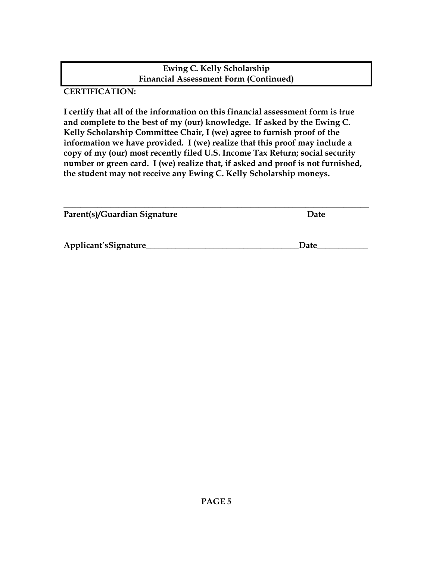#### **Ewing C. Kelly Scholarship Financial Assessment Form (Continued)**

**CERTIFICATION:**

**I certify that all of the information on this financial assessment form is true and complete to the best of my (our) knowledge. If asked by the Ewing C. Kelly Scholarship Committee Chair, I (we) agree to furnish proof of the information we have provided. I (we) realize that this proof may include a copy of my (our) most recently filed U.S. Income Tax Return; social security number or green card. I (we) realize that, if asked and proof is not furnished, the student may not receive any Ewing C. Kelly Scholarship moneys.**

| Parent(s)/Guardian Signature | Date |
|------------------------------|------|
| Applicant'sSignature         | Date |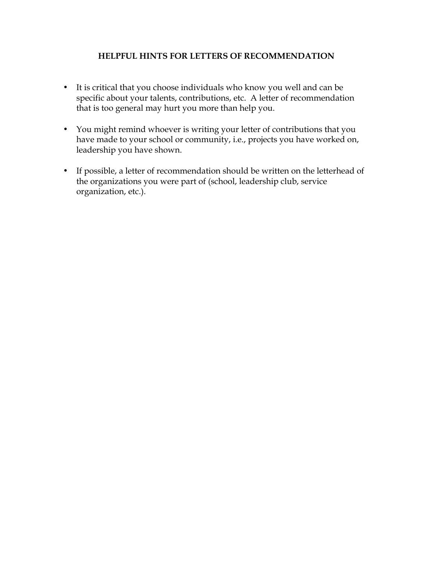#### **HELPFUL HINTS FOR LETTERS OF RECOMMENDATION**

- It is critical that you choose individuals who know you well and can be specific about your talents, contributions, etc. A letter of recommendation that is too general may hurt you more than help you.
- You might remind whoever is writing your letter of contributions that you have made to your school or community, i.e., projects you have worked on, leadership you have shown.
- If possible, a letter of recommendation should be written on the letterhead of the organizations you were part of (school, leadership club, service organization, etc.).